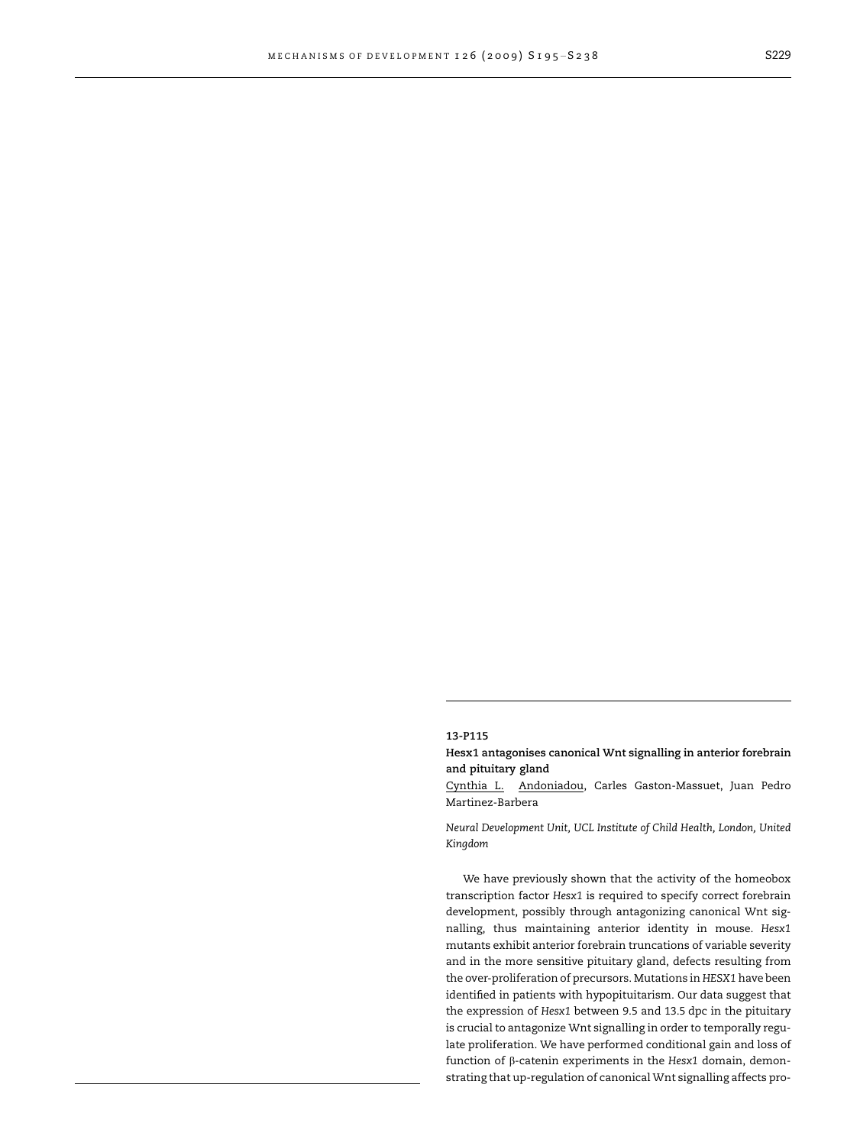## 13-P115

Hesx1 antagonises canonical Wnt signalling in anterior forebrain and pituitary gland

Cynthia L. Andoniadou, Carles Gaston-Massuet, Juan Pedro Martinez-Barbera

Neural Development Unit, UCL Institute of Child Health, London, United Kingdom

We have previously shown that the activity of the homeobox transcription factor Hesx1 is required to specify correct forebrain development, possibly through antagonizing canonical Wnt signalling, thus maintaining anterior identity in mouse. Hesx1 mutants exhibit anterior forebrain truncations of variable severity and in the more sensitive pituitary gland, defects resulting from the over-proliferation of precursors. Mutations in HESX1 have been identified in patients with hypopituitarism. Our data suggest that the expression of Hesx1 between 9.5 and 13.5 dpc in the pituitary is crucial to antagonize Wnt signalling in order to temporally regulate proliferation. We have performed conditional gain and loss of function of  $\beta$ -catenin experiments in the Hesx1 domain, demonstrating that up-regulation of canonical Wnt signalling affects pro